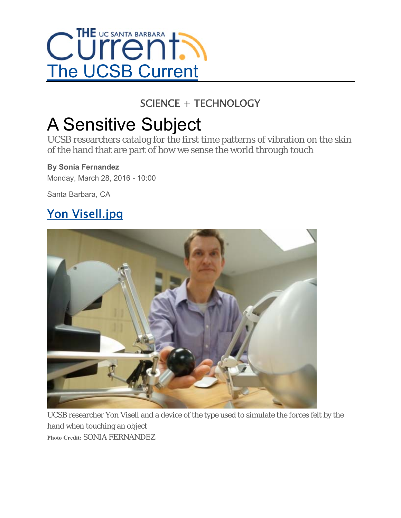

### SCIENCE + TECHNOLOGY

# A Sensitive Subject

UCSB researchers catalog for the first time patterns of vibration on the skin of the hand that are part of how we sense the world through touch

#### **By Sonia Fernandez**

Monday, March 28, 2016 - 10:00

Santa Barbara, CA

## Yon Visell.jpg



UCSB researcher Yon Visell and a device of the type used to simulate the forces felt by the hand when touching an object **Photo Credit:** SONIA FERNANDEZ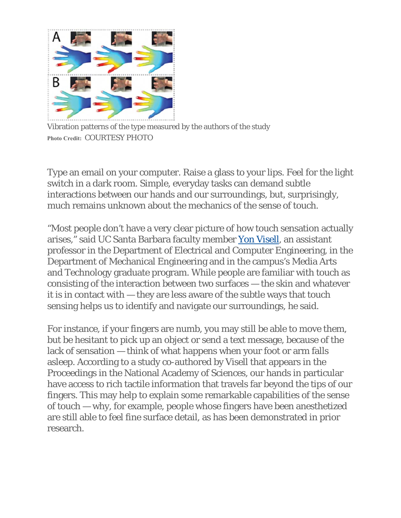

Vibration patterns of the type measured by the authors of the study **Photo Credit:** COURTESY PHOTO

Type an email on your computer. Raise a glass to your lips. Feel for the light switch in a dark room. Simple, everyday tasks can demand subtle interactions between our hands and our surroundings, but, surprisingly, much remains unknown about the mechanics of the sense of touch.

"Most people don't have a very clear picture of how touch sensation actually arises," said UC Santa Barbara faculty member Yon Visell, an assistant professor in the Department of Electrical and Computer Engineering, in the Department of Mechanical Engineering and in the campus's Media Arts and Technology graduate program. While people are familiar with touch as consisting of the interaction between two surfaces — the skin and whatever it is in contact with — they are less aware of the subtle ways that touch sensing helps us to identify and navigate our surroundings, he said.

For instance, if your fingers are numb, you may still be able to move them, but be hesitant to pick up an object or send a text message, because of the lack of sensation — think of what happens when your foot or arm falls asleep. According to a study co-authored by Visell that appears in the Proceedings in the National Academy of Sciences, our hands in particular have access to rich tactile information that travels far beyond the tips of our fingers. This may help to explain some remarkable capabilities of the sense of touch — why, for example, people whose fingers have been anesthetized are still able to feel fine surface detail, as has been demonstrated in prior research.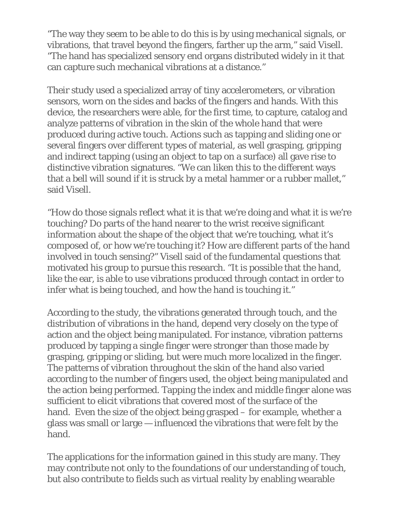"The way they seem to be able to do this is by using mechanical signals, or vibrations, that travel beyond the fingers, farther up the arm," said Visell. "The hand has specialized sensory end organs distributed widely in it that can capture such mechanical vibrations at a distance."

Their study used a specialized array of tiny accelerometers, or vibration sensors, worn on the sides and backs of the fingers and hands. With this device, the researchers were able, for the first time, to capture, catalog and analyze patterns of vibration in the skin of the whole hand that were produced during active touch. Actions such as tapping and sliding one or several fingers over different types of material, as well grasping, gripping and indirect tapping (using an object to tap on a surface) all gave rise to distinctive vibration signatures. "We can liken this to the different ways that a bell will sound if it is struck by a metal hammer or a rubber mallet," said Visell.

"How do those signals reflect what it is that we're doing and what it is we're touching? Do parts of the hand nearer to the wrist receive significant information about the shape of the object that we're touching, what it's composed of, or how we're touching it? How are different parts of the hand involved in touch sensing?" Visell said of the fundamental questions that motivated his group to pursue this research. "It is possible that the hand, like the ear, is able to use vibrations produced through contact in order to infer what is being touched, and how the hand is touching it."

According to the study, the vibrations generated through touch, and the distribution of vibrations in the hand, depend very closely on the type of action and the object being manipulated. For instance, vibration patterns produced by tapping a single finger were stronger than those made by grasping, gripping or sliding, but were much more localized in the finger. The patterns of vibration throughout the skin of the hand also varied according to the number of fingers used, the object being manipulated and the action being performed. Tapping the index and middle finger alone was sufficient to elicit vibrations that covered most of the surface of the hand. Even the size of the object being grasped – for example, whether a glass was small or large — influenced the vibrations that were felt by the hand.

The applications for the information gained in this study are many. They may contribute not only to the foundations of our understanding of touch, but also contribute to fields such as virtual reality by enabling wearable